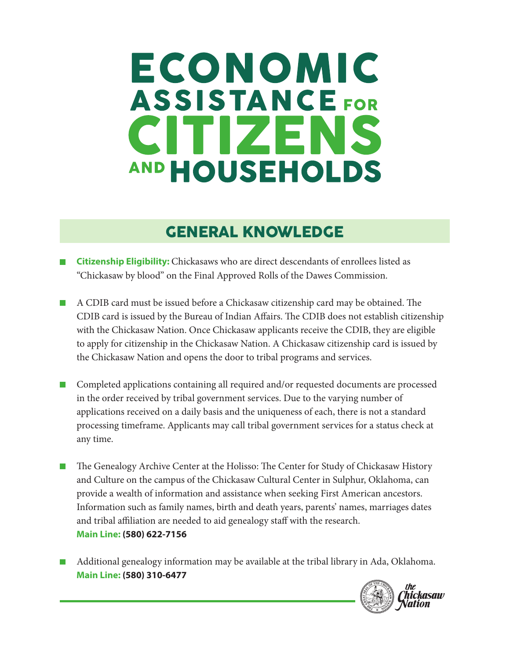# ECONOMIC **ASSISTANCE FOR** CITIZENS AND HOUSEHOLDS

# GENERAL KNOWLEDGE

- **Citizenship Eligibility:** Chickasaws who are direct descendants of enrollees listed as "Chickasaw by blood" on the Final Approved Rolls of the Dawes Commission.
- A CDIB card must be issued before a Chickasaw citizenship card may be obtained. The CDIB card is issued by the Bureau of Indian Affairs. The CDIB does not establish citizenship with the Chickasaw Nation. Once Chickasaw applicants receive the CDIB, they are eligible to apply for citizenship in the Chickasaw Nation. A Chickasaw citizenship card is issued by the Chickasaw Nation and opens the door to tribal programs and services.
- Completed applications containing all required and/or requested documents are processed in the order received by tribal government services. Due to the varying number of applications received on a daily basis and the uniqueness of each, there is not a standard processing timeframe. Applicants may call tribal government services for a status check at any time.
- The Genealogy Archive Center at the Holisso: The Center for Study of Chickasaw History and Culture on the campus of the Chickasaw Cultural Center in Sulphur, Oklahoma, can provide a wealth of information and assistance when seeking First American ancestors. Information such as family names, birth and death years, parents' names, marriages dates and tribal affiliation are needed to aid genealogy staff with the research. **Main Line: (580) 622-7156**
- Additional genealogy information may be available at the tribal library in Ada, Oklahoma. **Main Line: (580) 310-6477**

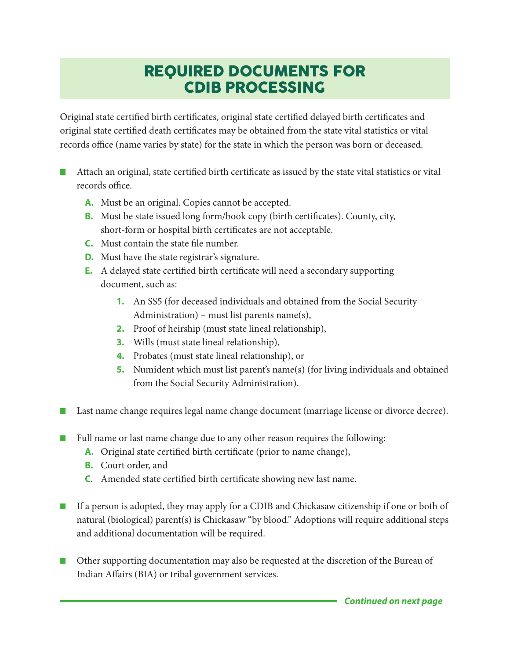## REQUIRED DOCUMENTS FOR CDIB PROCESSING

Original state certified birth certificates, original state certified delayed birth certificates and original state certified death certificates may be obtained from the state vital statistics or vital records office (name varies by state) for the state in which the person was born or deceased.

- Attach an original, state certified birth certificate as issued by the state vital statistics or vital records office.
	- **A.** Must be an original. Copies cannot be accepted.
	- **B.** Must be state issued long form/book copy (birth certificates). County, city, short-form or hospital birth certificates are not acceptable.
	- **C.** Must contain the state file number.
	- **D.** Must have the state registrar's signature.
	- **E.** A delayed state certified birth certificate will need a secondary supporting document, such as:
		- **1.** An SS5 (for deceased individuals and obtained from the Social Security Administration) – must list parents name(s),
		- **2.** Proof of heirship (must state lineal relationship),
		- **3.** Wills (must state lineal relationship),
		- **4.** Probates (must state lineal relationship), or
		- **5.** Numident which must list parent's name(s) (for living individuals and obtained from the Social Security Administration).
- Last name change requires legal name change document (marriage license or divorce decree).
	- Full name or last name change due to any other reason requires the following:
		- **A.** Original state certified birth certificate (prior to name change),
		- **B.** Court order, and
		- **C**. Amended state certified birth certificate showing new last name.
- If a person is adopted, they may apply for a CDIB and Chickasaw citizenship if one or both of natural (biological) parent(s) is Chickasaw "by blood." Adoptions will require additional steps and additional documentation will be required.
- $\mathcal{L}_{\mathcal{A}}$ Other supporting documentation may also be requested at the discretion of the Bureau of Indian Affairs (BIA) or tribal government services.